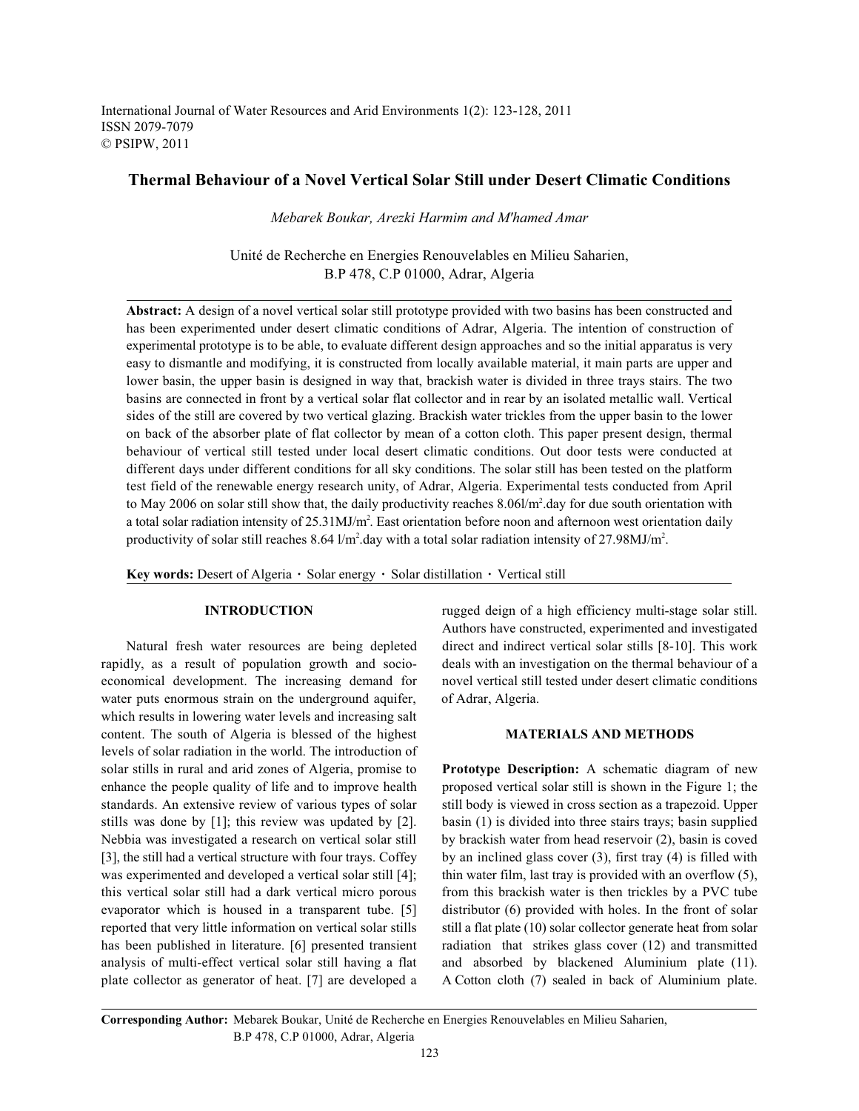International Journal of Water Resources and Arid Environments 1(2): 123-128, 2011 ISSN 2079-7079 © PSIPW, 2011

# **Thermal Behaviour of a Novel Vertical Solar Still under Desert Climatic Conditions**

*Mebarek Boukar, Arezki Harmim and M'hamed Amar*

Unité de Recherche en Energies Renouvelables en Milieu Saharien, B.P 478, C.P 01000, Adrar, Algeria

**Abstract:** A design of a novel vertical solar still prototype provided with two basins has been constructed and has been experimented under desert climatic conditions of Adrar, Algeria. The intention of construction of experimental prototype is to be able, to evaluate different design approaches and so the initial apparatus is very easy to dismantle and modifying, it is constructed from locally available material, it main parts are upper and lower basin, the upper basin is designed in way that, brackish water is divided in three trays stairs. The two basins are connected in front by a vertical solar flat collector and in rear by an isolated metallic wall. Vertical sides of the still are covered by two vertical glazing. Brackish water trickles from the upper basin to the lower on back of the absorber plate of flat collector by mean of a cotton cloth. This paper present design, thermal behaviour of vertical still tested under local desert climatic conditions. Out door tests were conducted at different days under different conditions for all sky conditions. The solar still has been tested on the platform test field of the renewable energy research unity, of Adrar, Algeria. Experimental tests conducted from April to May 2006 on solar still show that, the daily productivity reaches  $8.06$ /m<sup>2</sup>.day for due south orientation with a total solar radiation intensity of  $25.31 \text{MJ/m}^2$ . East orientation before noon and afternoon west orientation daily productivity of solar still reaches 8.64  $1/m^2$ .day with a total solar radiation intensity of 27.98MJ/m<sup>2</sup>.

Key words: Desert of Algeria · Solar energy · Solar distillation · Vertical still

rapidly, as a result of population growth and socio- deals with an investigation on the thermal behaviour of a economical development. The increasing demand for novel vertical still tested under desert climatic conditions water puts enormous strain on the underground aquifer, of Adrar, Algeria. which results in lowering water levels and increasing salt content. The south of Algeria is blessed of the highest **MATERIALS AND METHODS** levels of solar radiation in the world. The introduction of solar stills in rural and arid zones of Algeria, promise to **Prototype Description:** A schematic diagram of new enhance the people quality of life and to improve health proposed vertical solar still is shown in the Figure 1; the standards. An extensive review of various types of solar still body is viewed in cross section as a trapezoid. Upper stills was done by [1]; this review was updated by [2]. basin (1) is divided into three stairs trays; basin supplied Nebbia was investigated a research on vertical solar still by brackish water from head reservoir (2), basin is coved [3], the still had a vertical structure with four trays. Coffey by an inclined glass cover (3), first tray (4) is filled with was experimented and developed a vertical solar still [4]; thin water film, last tray is provided with an overflow (5), this vertical solar still had a dark vertical micro porous from this brackish water is then trickles by a PVC tube evaporator which is housed in a transparent tube. [5] distributor (6) provided with holes. In the front of solar reported that very little information on vertical solar stills still a flat plate (10) solar collector generate heat from solar has been published in literature. [6] presented transient radiation that strikes glass cover (12) and transmitted analysis of multi-effect vertical solar still having a flat and absorbed by blackened Aluminium plate (11). plate collector as generator of heat. [7] are developed a A Cotton cloth (7) sealed in back of Aluminium plate.

**INTRODUCTION** rugged deign of a high efficiency multi-stage solar still. Natural fresh water resources are being depleted direct and indirect vertical solar stills [8-10]. This work Authors have constructed, experimented and investigated

**Corresponding Author:** Mebarek Boukar, Unité de Recherche en Energies Renouvelables en Milieu Saharien, B.P 478, C.P 01000, Adrar, Algeria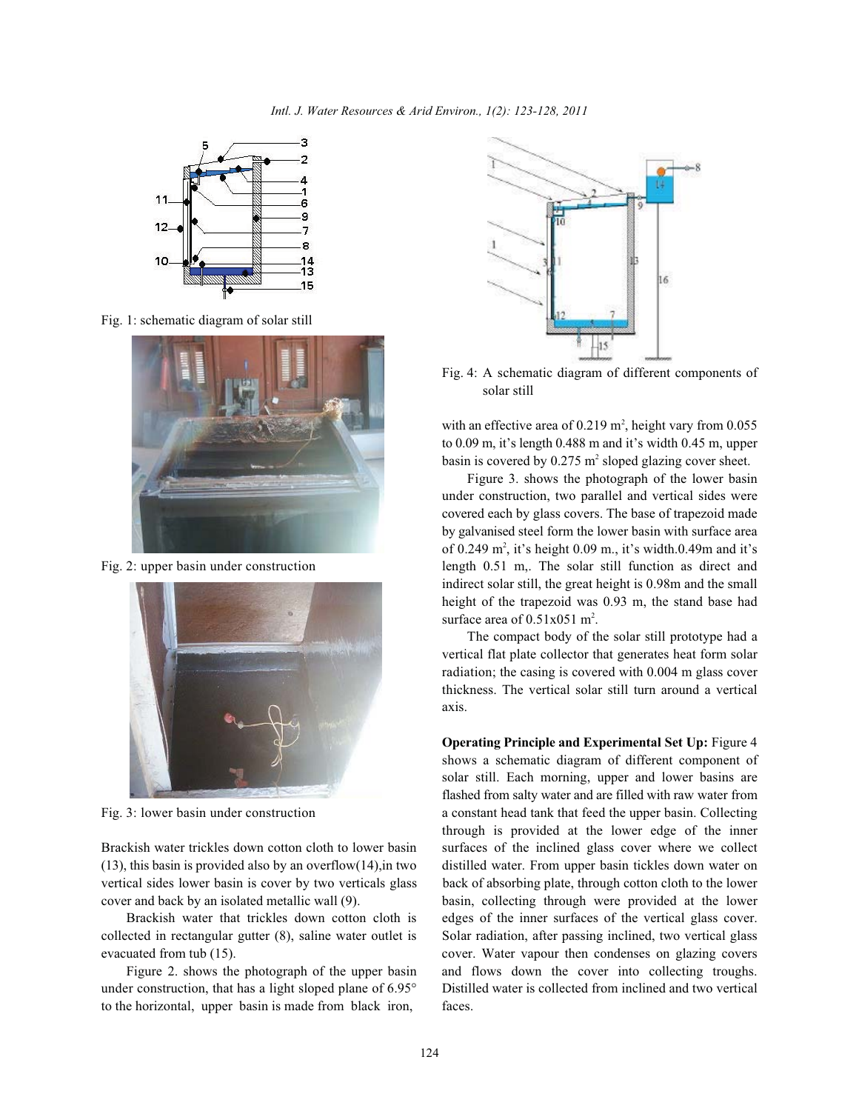

Fig. 1: schematic diagram of solar still





(13), this basin is provided also by an overflow(14),in two distilled water. From upper basin tickles down water on vertical sides lower basin is cover by two verticals glass back of absorbing plate, through cotton cloth to the lower cover and back by an isolated metallic wall (9). basin, collecting through were provided at the lower

collected in rectangular gutter (8), saline water outlet is Solar radiation, after passing inclined, two vertical glass evacuated from tub (15). cover. Water vapour then condenses on glazing covers

under construction, that has a light sloped plane of 6.95° Distilled water is collected from inclined and two vertical to the horizontal, upper basin is made from black iron, faces.



Fig. 4: A schematic diagram of different components of solar still

with an effective area of  $0.219$  m<sup>2</sup>, height vary from  $0.055$ to 0.09 m, it's length 0.488 m and it's width 0.45 m, upper basin is covered by  $0.275$  m<sup>2</sup> sloped glazing cover sheet.

Fig. 2: upper basin under construction length 0.51 m,. The solar still function as direct and Figure 3. shows the photograph of the lower basin under construction, two parallel and vertical sides were covered each by glass covers. The base of trapezoid made by galvanised steel form the lower basin with surface area of 0.249  $m^2$ , it's height 0.09 m., it's width.0.49m and it's indirect solar still, the great height is 0.98m and the small height of the trapezoid was 0.93 m, the stand base had surface area of  $0.51x051$  m<sup>2</sup>.

> The compact body of the solar still prototype had a vertical flat plate collector that generates heat form solar radiation; the casing is covered with 0.004 m glass cover thickness. The vertical solar still turn around a vertical axis.

Fig. 3: lower basin under construction a constant head tank that feed the upper basin. Collecting Brackish water trickles down cotton cloth to lower basin surfaces of the inclined glass cover where we collect Brackish water that trickles down cotton cloth is edges of the inner surfaces of the vertical glass cover. Figure 2. shows the photograph of the upper basin and flows down the cover into collecting troughs. **Operating Principle and Experimental Set Up:** Figure 4 shows a schematic diagram of different component of solar still. Each morning, upper and lower basins are flashed from salty water and are filled with raw water from through is provided at the lower edge of the inner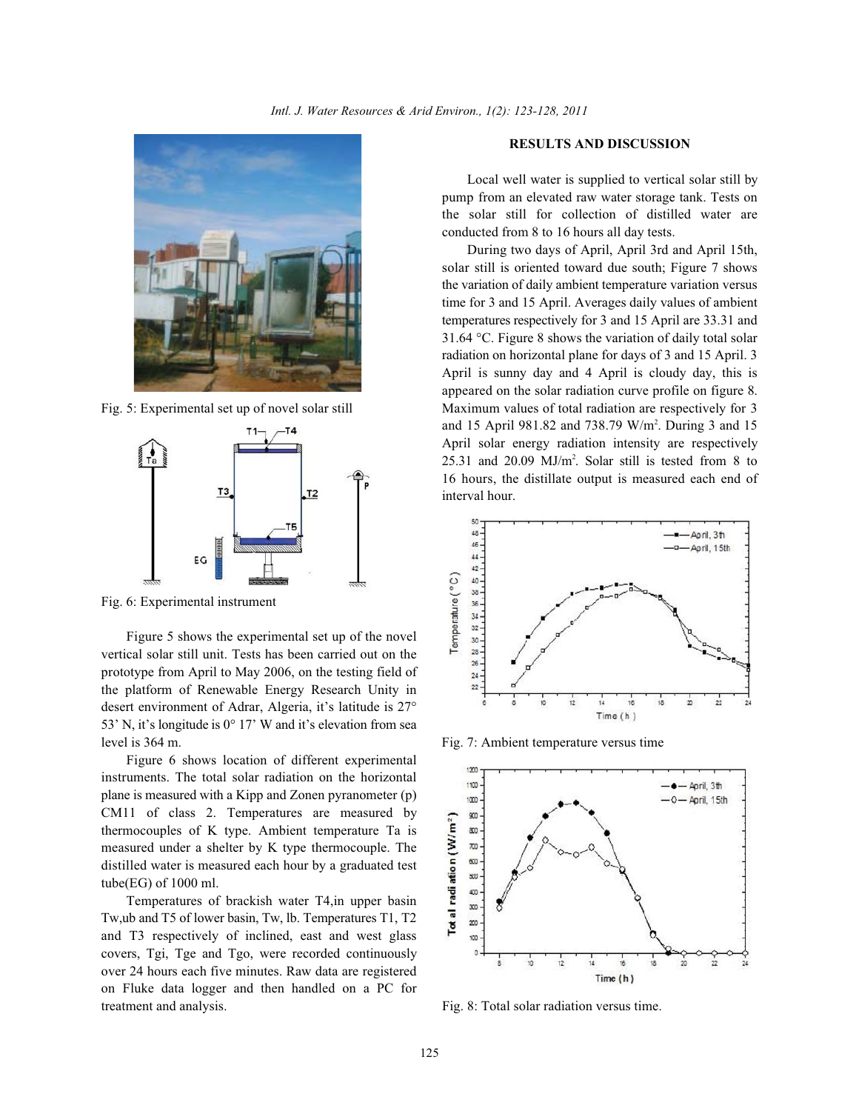



Fig. 6: Experimental instrument

Figure 5 shows the experimental set up of the novel vertical solar still unit. Tests has been carried out on the prototype from April to May 2006, on the testing field of the platform of Renewable Energy Research Unity in desert environment of Adrar, Algeria, it's latitude is 27° 53' N, it's longitude is 0° 17' W and it's elevation from sea level is 364 m. Fig. 7: Ambient temperature versus time

Figure 6 shows location of different experimental instruments. The total solar radiation on the horizontal plane is measured with a Kipp and Zonen pyranometer (p) CM11 of class 2. Temperatures are measured by thermocouples of K type. Ambient temperature Ta is measured under a shelter by K type thermocouple. The distilled water is measured each hour by a graduated test tube(EG) of 1000 ml.

Temperatures of brackish water T4,in upper basin Tw,ub and T5 of lower basin, Tw, lb. Temperatures T1, T2 and T3 respectively of inclined, east and west glass covers, Tgi, Tge and Tgo, were recorded continuously over 24 hours each five minutes. Raw data are registered on Fluke data logger and then handled on a PC for treatment and analysis. Fig. 8: Total solar radiation versus time.

## **RESULTS AND DISCUSSION**

Local well water is supplied to vertical solar still by pump from an elevated raw water storage tank. Tests on the solar still for collection of distilled water are conducted from 8 to 16 hours all day tests.

Fig. 5: Experimental set up of novel solar still Maximum values of total radiation are respectively for 3 During two days of April, April 3rd and April 15th, solar still is oriented toward due south; Figure 7 shows the variation of daily ambient temperature variation versus time for 3 and 15 April. Averages daily values of ambient temperatures respectively for 3 and 15 April are 33.31 and 31.64 °C. Figure 8 shows the variation of daily total solar radiation on horizontal plane for days of 3 and 15 April. 3 April is sunny day and 4 April is cloudy day, this is appeared on the solar radiation curve profile on figure 8. and 15 April 981.82 and 738.79 W/m<sup>2</sup>. During 3 and 15 April solar energy radiation intensity are respectively  $25.31$  and  $20.09$  MJ/m<sup>2</sup>. Solar still is tested from 8 to 16 hours, the distillate output is measured each end of interval hour.



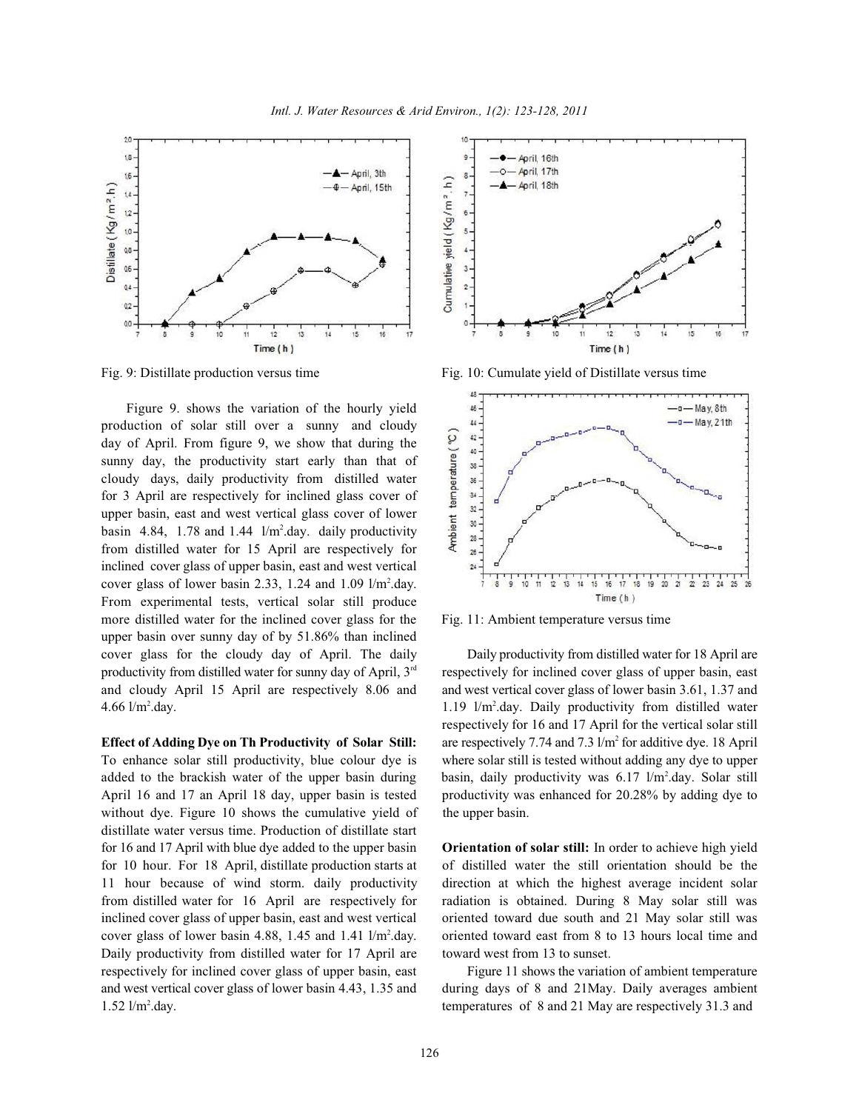

Figure 9. shows the variation of the hourly yield production of solar still over a sunny and cloudy day of April. From figure 9, we show that during the sunny day, the productivity start early than that of cloudy days, daily productivity from distilled water for 3 April are respectively for inclined glass cover of upper basin, east and west vertical glass cover of lower basin 4.84, 1.78 and 1.44  $1/m^2$ .day. daily productivity from distilled water for 15 April are respectively for inclined cover glass of upper basin, east and west vertical cover glass of lower basin 2.33, 1.24 and 1.09  $1/m^2$ .day. From experimental tests, vertical solar still produce more distilled water for the inclined cover glass for the Fig. 11: Ambient temperature versus time upper basin over sunny day of by 51.86% than inclined cover glass for the cloudy day of April. The daily Daily productivity from distilled water for 18 April are productivity from distilled water for sunny day of April,  $3<sup>rd</sup>$  respectively for inclined cover glass of upper basin, east and cloudy April 15 April are respectively 8.06 and and west vertical cover glass of lower basin 3.61, 1.37 and

To enhance solar still productivity, blue colour dye is where solar still is tested without adding any dye to upper April 16 and 17 an April 18 day, upper basin is tested productivity was enhanced for 20.28% by adding dye to without dye. Figure 10 shows the cumulative yield of the upper basin. distillate water versus time. Production of distillate start for 16 and 17 April with blue dye added to the upper basin **Orientation of solar still:** In order to achieve high yield for 10 hour. For 18 April, distillate production starts at of distilled water the still orientation should be the 11 hour because of wind storm. daily productivity direction at which the highest average incident solar from distilled water for 16 April are respectively for radiation is obtained. During 8 May solar still was inclined cover glass of upper basin, east and west vertical oriented toward due south and 21 May solar still was cover glass of lower basin 4.88, 1.45 and 1.41  $1/m<sup>2</sup>$ .day. oriented toward east from 8 to 13 hours local time and Daily productivity from distilled water for 17 April are toward west from 13 to sunset. respectively for inclined cover glass of upper basin, east Figure 11 shows the variation of ambient temperature and west vertical cover glass of lower basin 4.43, 1.35 and during days of 8 and 21May. Daily averages ambient 1.52 l/m<sup>2</sup>.day. temperatures of 8 and 21 May are respectively 31.3 and



Fig. 9: Distillate production versus time Fig. 10: Cumulate yield of Distillate versus time



4.66  $\text{l/m}^2$ .day.  $\text{D}$  1.19  $\text{l/m}^2$ .day. Daily productivity from distilled water **Effect of Adding Dye on Th Productivity of Solar Still:** are respectively 7.74 and 7.3 l/m<sup>2</sup> for additive dye. 18 April added to the brackish water of the upper basin during basin, daily productivity was  $6.17 \frac{\text{m}}{\text{day}}$ . Solar still respectively for 16 and 17 April for the vertical solar still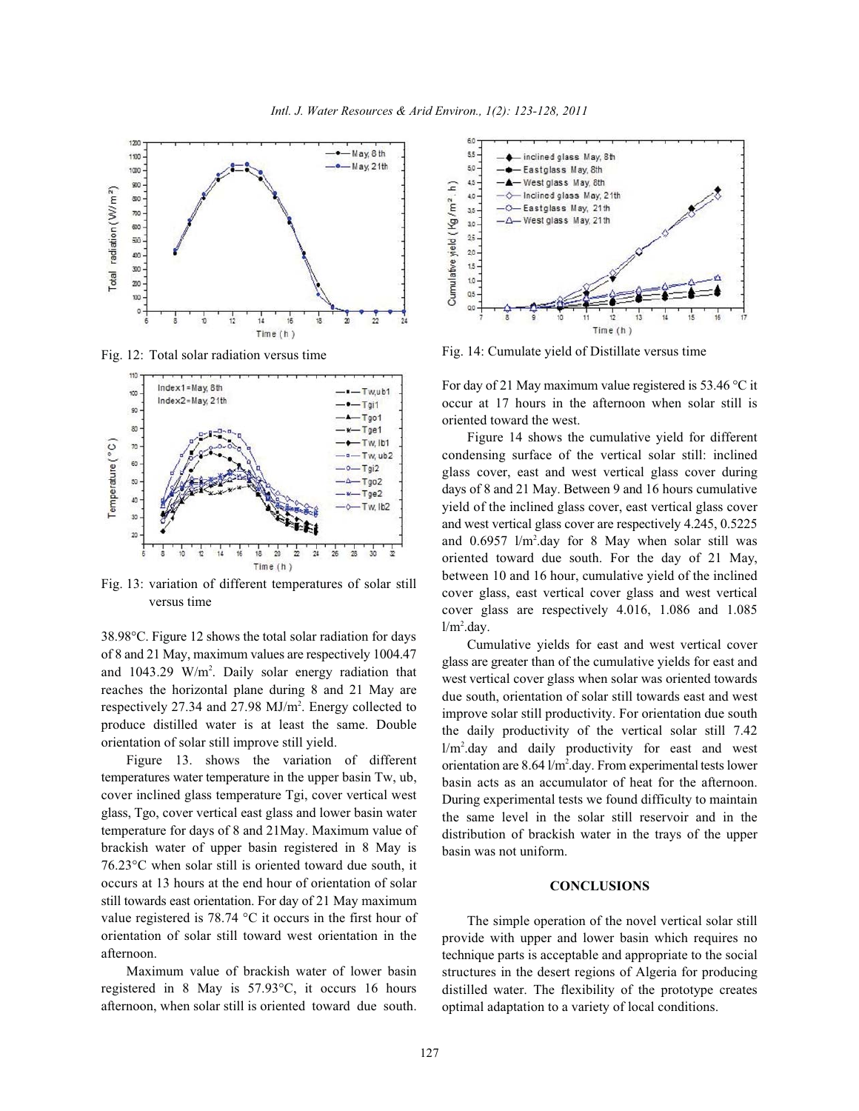

Fig. 12: Total solar radiation versus time



Fig. 13: variation of different temperatures of solar still versus time

38.98°C. Figure 12 shows the total solar radiation for days of 8 and 21 May, maximum values are respectively 1004.47 and  $1043.29$  W/m<sup>2</sup>. Daily solar energy radiation that reaches the horizontal plane during 8 and 21 May are respectively 27.34 and 27.98  $MJ/m<sup>2</sup>$ . Energy collected to produce distilled water is at least the same. Double orientation of solar still improve still yield.

Figure 13. shows the variation of different temperatures water temperature in the upper basin Tw, ub, cover inclined glass temperature Tgi, cover vertical west glass, Tgo, cover vertical east glass and lower basin water temperature for days of 8 and 21May. Maximum value of brackish water of upper basin registered in 8 May is 76.23°C when solar still is oriented toward due south, it occurs at 13 hours at the end hour of orientation of solar still towards east orientation. For day of 21 May maximum value registered is 78.74 °C it occurs in the first hour of orientation of solar still toward west orientation in the afternoon.

Maximum value of brackish water of lower basin registered in 8 May is 57.93°C, it occurs 16 hours afternoon, when solar still is oriented toward due south.



Fig. 14: Cumulate yield of Distillate versus time

For day of 21 May maximum value registered is 53.46 °C it occur at 17 hours in the afternoon when solar still is oriented toward the west.

Figure 14 shows the cumulative yield for different condensing surface of the vertical solar still: inclined glass cover, east and west vertical glass cover during days of 8 and 21 May. Between 9 and 16 hours cumulative yield of the inclined glass cover, east vertical glass cover and west vertical glass cover are respectively 4.245, 0.5225 and  $0.6957$  l/m<sup>2</sup>.day for 8 May when solar still was oriented toward due south. For the day of 21 May, between 10 and 16 hour, cumulative yield of the inclined cover glass, east vertical cover glass and west vertical cover glass are respectively 4.016, 1.086 and 1.085  $1/m<sup>2</sup>$ .day.

Cumulative yields for east and west vertical cover glass are greater than of the cumulative yields for east and west vertical cover glass when solar was oriented towards due south, orientation of solar still towards east and west improve solar still productivity. For orientation due south the daily productivity of the vertical solar still 7.42  $1/m<sup>2</sup>$ .day and daily productivity for east and west orientation are  $8.64 \frac{1}{m^2}$ .day. From experimental tests lower basin acts as an accumulator of heat for the afternoon. During experimental tests we found difficulty to maintain the same level in the solar still reservoir and in the distribution of brackish water in the trays of the upper basin was not uniform.

## **CONCLUSIONS**

The simple operation of the novel vertical solar still provide with upper and lower basin which requires no technique parts is acceptable and appropriate to the social structures in the desert regions of Algeria for producing distilled water. The flexibility of the prototype creates optimal adaptation to a variety of local conditions.